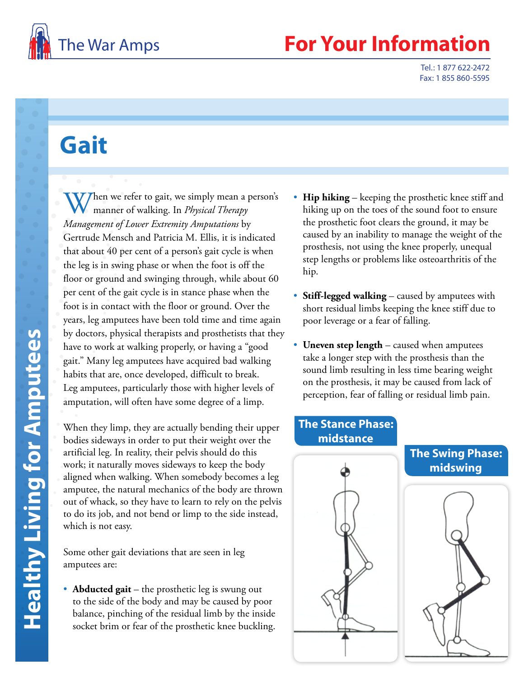

## The War Amps **For Your Information**

Tel.: 1 877 622-2472 Fax: 1 855 860-5595

## **Gait**

 $V$  hen we refer to gait, we simply mean a person's manner of walking. In *Physical Therapy Management of Lower Extremity Amputations* by Gertrude Mensch and Patricia M. Ellis, it is indicated that about 40 per cent of a person's gait cycle is when the leg is in swing phase or when the foot is off the floor or ground and swinging through, while about 60 per cent of the gait cycle is in stance phase when the foot is in contact with the floor or ground. Over the years, leg amputees have been told time and time again by doctors, physical therapists and prosthetists that they have to work at walking properly, or having a "good gait." Many leg amputees have acquired bad walking habits that are, once developed, difficult to break. Leg amputees, particularly those with higher levels of amputation, will often have some degree of a limp.

When they limp, they are actually bending their upper bodies sideways in order to put their weight over the artificial leg. In reality, their pelvis should do this work; it naturally moves sideways to keep the body aligned when walking. When somebody becomes a leg amputee, the natural mechanics of the body are thrown out of whack, so they have to learn to rely on the pelvis to do its job, and not bend or limp to the side instead, which is not easy.

Some other gait deviations that are seen in leg amputees are:

• **Abducted gait** – the prosthetic leg is swung out to the side of the body and may be caused by poor balance, pinching of the residual limb by the inside socket brim or fear of the prosthetic knee buckling.

- **Hip hiking** keeping the prosthetic knee stiff and hiking up on the toes of the sound foot to ensure the prosthetic foot clears the ground, it may be caused by an inability to manage the weight of the prosthesis, not using the knee properly, unequal step lengths or problems like osteoarthritis of the hip.
- **Stiff-legged walking** caused by amputees with short residual limbs keeping the knee stiff due to poor leverage or a fear of falling.
- **Uneven step length** caused when amputees take a longer step with the prosthesis than the sound limb resulting in less time bearing weight on the prosthesis, it may be caused from lack of perception, fear of falling or residual limb pain.